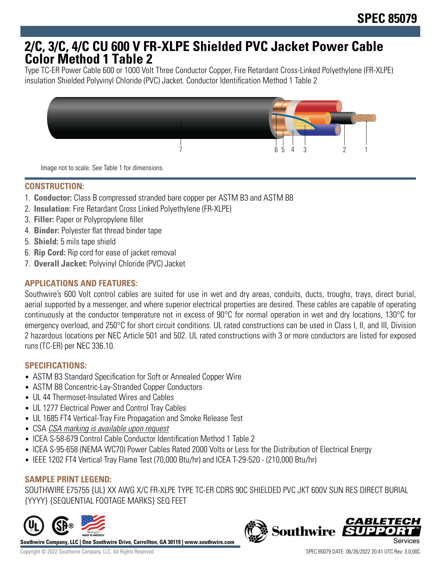# **2/C, 3/C, 4/C CU 600 V FR-XLPE Shielded PVC Jacket Power Cable Color Method 1 Table 2**

Type TC-ER Power Cable 600 or 1000 Volt Three Conductor Copper, Fire Retardant Cross-Linked Polyethylene (FR-XLPE) insulation Shielded Polyvinyl Chloride (PVC) Jacket. Conductor Identification Method 1 Table 2



Image not to scale. See Table 1 for dimensions.

# **CONSTRUCTION:**

- 1. **Conductor:** Class B compressed stranded bare copper per ASTM B3 and ASTM B8
- 2. **Insulation:** Fire Retardant Cross Linked Polyethylene (FR-XLPE)
- 3. **Filler:** Paper or Polypropylene filler
- 4. **Binder:** Polyester flat thread binder tape
- 5. **Shield:** 5 mils tape shield
- 6. **Rip Cord:** Rip cord for ease of jacket removal
- 7. **Overall Jacket:** Polyvinyl Chloride (PVC) Jacket

## **APPLICATIONS AND FEATURES:**

Southwire's 600 Volt control cables are suited for use in wet and dry areas, conduits, ducts, troughs, trays, direct burial, aerial supported by a messenger, and where superior electrical properties are desired. These cables are capable of operating continuously at the conductor temperature not in excess of 90°C for normal operation in wet and dry locations, 130°C for emergency overload, and 250°C for short circuit conditions. UL rated constructions can be used in Class I, II, and III, Division 2 hazardous locations per NEC Article 501 and 502. UL rated constructions with 3 or more conductors are listed for exposed runs (TC-ER) per NEC 336.10.

#### **SPECIFICATIONS:**

- ASTM B3 Standard Specification for Soft or Annealed Copper Wire
- ASTM B8 Concentric-Lay-Stranded Copper Conductors
- UL 44 Thermoset-Insulated Wires and Cables
- UL 1277 Electrical Power and Control Tray Cables
- UL 1685 FT4 Vertical-Tray Fire Propagation and Smoke Release Test
- CSA CSA marking is available upon request
- ICEA S-58-679 Control Cable Conductor Identification Method 1 Table 2
- ICEA S-95-658 (NEMA WC70) Power Cables Rated 2000 Volts or Less for the Distribution of Electrical Energy
- IEEE 1202 FT4 Vertical Tray Flame Test (70,000 Btu/hr) and ICEA T-29-520 (210,000 Btu/hr)

# **SAMPLE PRINT LEGEND:**

SOUTHWIRE E75755 {UL} XX AWG X/C FR-XLPE TYPE TC-ER CDRS 90C SHIELDED PVC JKT 600V SUN RES DIRECT BURIAL {YYYY} {SEQUENTIAL FOOTAGE MARKS} SEQ FEET



**Southwire Company, LLC | One Southwire Drive, Carrollton, GA 30119 | www.southwire.com**